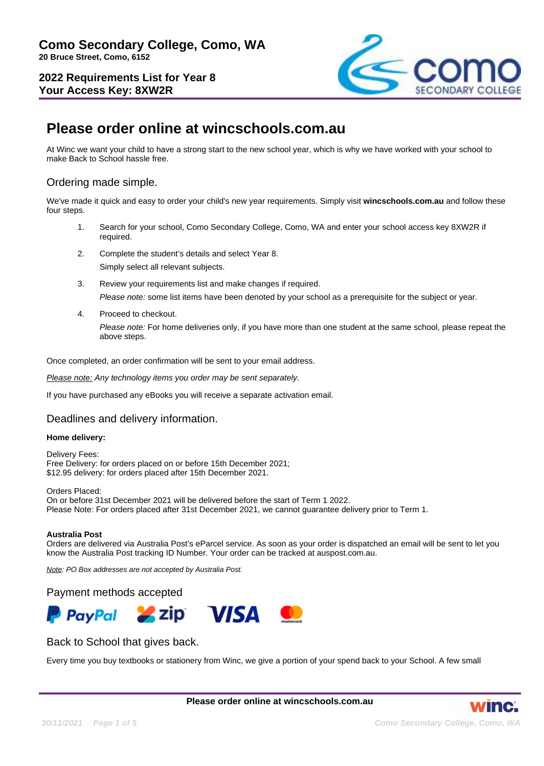

# **Please order online at wincschools.com.au**

At Winc we want your child to have a strong start to the new school year, which is why we have worked with your school to make Back to School hassle free.

# Ordering made simple.

We've made it quick and easy to order your child's new year requirements. Simply visit **wincschools.com.au** and follow these four steps.

- 1. Search for your school, Como Secondary College, Como, WA and enter your school access key 8XW2R if required.
- 2. Complete the student's details and select Year 8. Simply select all relevant subjects.
- 3. Review your requirements list and make changes if required. Please note: some list items have been denoted by your school as a prerequisite for the subject or year.
- 4. Proceed to checkout.

Please note: For home deliveries only, if you have more than one student at the same school, please repeat the above steps.

Once completed, an order confirmation will be sent to your email address.

Please note: Any technology items you order may be sent separately.

If you have purchased any eBooks you will receive a separate activation email.

## Deadlines and delivery information.

#### **Home delivery:**

Delivery Fees: Free Delivery: for orders placed on or before 15th December 2021; \$12.95 delivery: for orders placed after 15th December 2021.

Orders Placed: On or before 31st December 2021 will be delivered before the start of Term 1 2022. Please Note: For orders placed after 31st December 2021, we cannot guarantee delivery prior to Term 1.

#### **Australia Post**

Orders are delivered via Australia Post's eParcel service. As soon as your order is dispatched an email will be sent to let you know the Australia Post tracking ID Number. Your order can be tracked at auspost.com.au.

Note: PO Box addresses are not accepted by Australia Post.

#### Payment methods accepted



## Back to School that gives back.

Every time you buy textbooks or stationery from Winc, we give a portion of your spend back to your School. A few small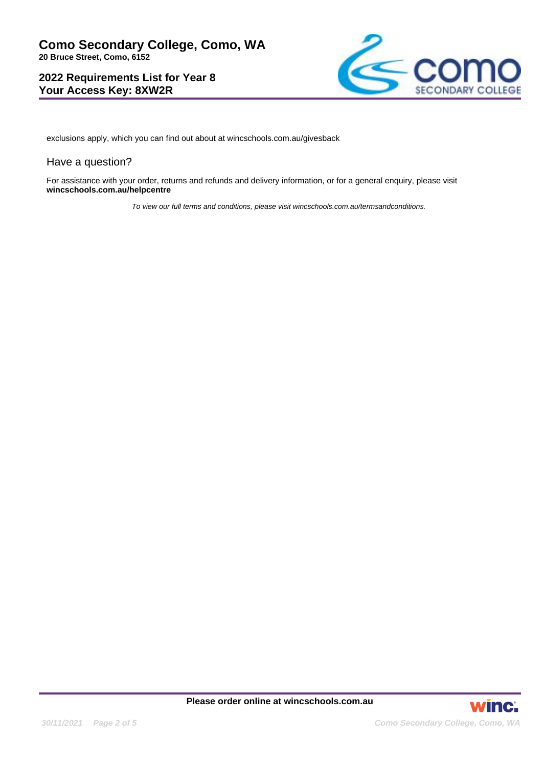

exclusions apply, which you can find out about at wincschools.com.au/givesback

#### Have a question?

For assistance with your order, returns and refunds and delivery information, or for a general enquiry, please visit **wincschools.com.au/helpcentre**

To view our full terms and conditions, please visit wincschools.com.au/termsandconditions.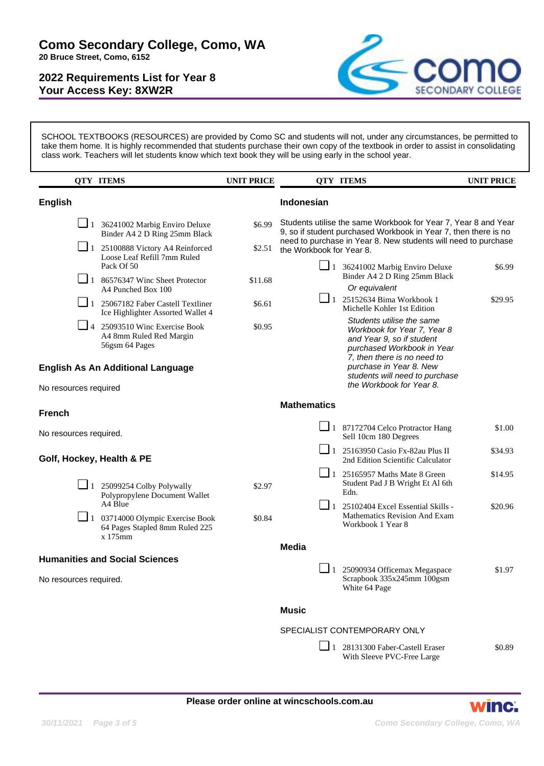

SCHOOL TEXTBOOKS (RESOURCES) are provided by Como SC and students will not, under any circumstances, be permitted to take them home. It is highly recommended that students purchase their own copy of the textbook in order to assist in consolidating class work. Teachers will let students know which text book they will be using early in the school year.

|                                                                         | <b>QTY ITEMS</b>                                                                     | <b>UNIT PRICE</b>            |                                                                                                                                                                                                     | <b>QTY ITEMS</b>                                                                                                                                   | <b>UNIT PRICE</b> |  |
|-------------------------------------------------------------------------|--------------------------------------------------------------------------------------|------------------------------|-----------------------------------------------------------------------------------------------------------------------------------------------------------------------------------------------------|----------------------------------------------------------------------------------------------------------------------------------------------------|-------------------|--|
| <b>English</b>                                                          |                                                                                      |                              | Indonesian                                                                                                                                                                                          |                                                                                                                                                    |                   |  |
| $\Box$ 1 36241002 Marbig Enviro Deluxe<br>Binder A4 2 D Ring 25mm Black |                                                                                      | \$6.99                       | Students utilise the same Workbook for Year 7, Year 8 and Year<br>9, so if student purchased Workbook in Year 7, then there is no<br>need to purchase in Year 8. New students will need to purchase |                                                                                                                                                    |                   |  |
|                                                                         | 1 25100888 Victory A4 Reinforced<br>Loose Leaf Refill 7mm Ruled<br>Pack Of 50        | \$2.51                       | the Workbook for Year 8.<br>$\Box$ 1 36241002 Marbig Enviro Deluxe                                                                                                                                  |                                                                                                                                                    | \$6.99            |  |
|                                                                         | $\boxed{\phantom{0}}$ 1 86576347 Winc Sheet Protector<br>A4 Punched Box 100          | \$11.68                      |                                                                                                                                                                                                     | Binder A4 2 D Ring 25mm Black<br>Or equivalent                                                                                                     |                   |  |
|                                                                         | 1 25067182 Faber Castell Textliner<br>Ice Highlighter Assorted Wallet 4              | \$6.61                       |                                                                                                                                                                                                     | $\boxed{\phantom{0}}$ 1 25152634 Bima Workbook 1<br>Michelle Kohler 1st Edition                                                                    | \$29.95           |  |
|                                                                         | $\Box$ 4 25093510 Winc Exercise Book<br>A4 8mm Ruled Red Margin<br>56gsm 64 Pages    | \$0.95                       |                                                                                                                                                                                                     | Students utilise the same<br>Workbook for Year 7, Year 8<br>and Year 9, so if student<br>purchased Workbook in Year<br>7, then there is no need to |                   |  |
| <b>English As An Additional Language</b>                                |                                                                                      |                              |                                                                                                                                                                                                     | purchase in Year 8. New<br>students will need to purchase<br>the Workbook for Year 8.                                                              |                   |  |
| No resources required                                                   |                                                                                      |                              | <b>Mathematics</b>                                                                                                                                                                                  |                                                                                                                                                    |                   |  |
| <b>French</b>                                                           |                                                                                      |                              |                                                                                                                                                                                                     |                                                                                                                                                    |                   |  |
| No resources required.                                                  |                                                                                      |                              |                                                                                                                                                                                                     | $\Box$ 1 87172704 Celco Protractor Hang<br>Sell 10cm 180 Degrees                                                                                   | \$1.00            |  |
| Golf, Hockey, Health & PE                                               |                                                                                      |                              | $\Box$ 1                                                                                                                                                                                            | 25163950 Casio Fx-82au Plus II<br>2nd Edition Scientific Calculator                                                                                | \$34.93           |  |
|                                                                         | $\Box$ 1 25099254 Colby Polywally<br>Polypropylene Document Wallet                   | \$2.97                       |                                                                                                                                                                                                     | $\boxed{\phantom{0}}$ 1 25165957 Maths Mate 8 Green<br>Student Pad J B Wright Et Al 6th<br>Edn.                                                    | \$14.95           |  |
|                                                                         | A4 Blue<br>$\Box$ 1 03714000 Olympic Exercise Book<br>64 Pages Stapled 8mm Ruled 225 | \$0.84                       | $\Box$ 1                                                                                                                                                                                            | 25102404 Excel Essential Skills -<br>Mathematics Revision And Exam<br>Workbook 1 Year 8                                                            | \$20.96           |  |
|                                                                         | x 175mm                                                                              |                              | <b>Media</b>                                                                                                                                                                                        |                                                                                                                                                    |                   |  |
|                                                                         | <b>Humanities and Social Sciences</b>                                                |                              |                                                                                                                                                                                                     |                                                                                                                                                    |                   |  |
| No resources required.                                                  |                                                                                      |                              |                                                                                                                                                                                                     | $\Box$ 1 25090934 Officemax Megaspace<br>Scrapbook 335x245mm 100gsm<br>White 64 Page                                                               | \$1.97            |  |
|                                                                         |                                                                                      |                              | <b>Music</b>                                                                                                                                                                                        |                                                                                                                                                    |                   |  |
|                                                                         |                                                                                      | SPECIALIST CONTEMPORARY ONLY |                                                                                                                                                                                                     |                                                                                                                                                    |                   |  |
|                                                                         |                                                                                      |                              |                                                                                                                                                                                                     | $\Box$ 1 28131300 Faber-Castell Eraser<br>With Sleeve PVC-Free Large                                                                               | \$0.89            |  |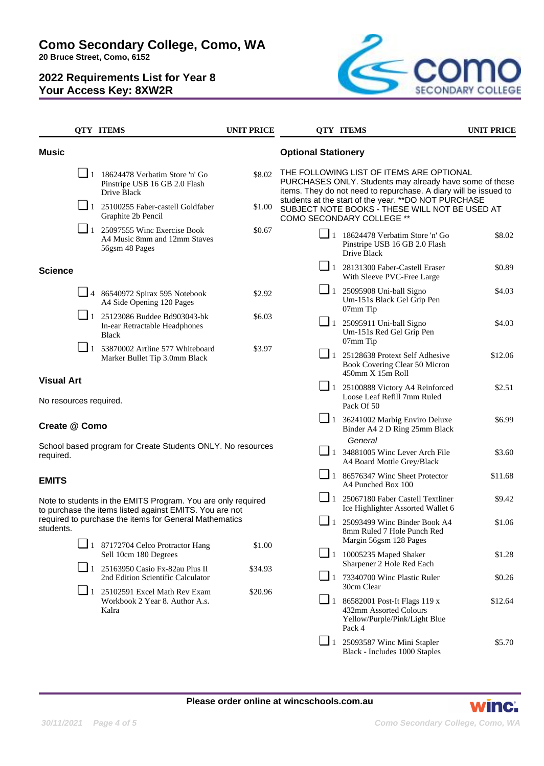**Como Secondary College, Como, WA**

**20 Bruce Street, Como, 6152**

# **2022 Requirements List for Year 8 Your Access Key: 8XW2R**



|                                                                                                                         |          | <b>QTY ITEMS</b>                                                                                       | <b>UNIT PRICE</b> |                                                                                 | <b>QTY ITEMS</b>                                                                                                                                                        | <b>UNIT PRICE</b> |
|-------------------------------------------------------------------------------------------------------------------------|----------|--------------------------------------------------------------------------------------------------------|-------------------|---------------------------------------------------------------------------------|-------------------------------------------------------------------------------------------------------------------------------------------------------------------------|-------------------|
| <b>Music</b>                                                                                                            |          |                                                                                                        |                   | <b>Optional Stationery</b>                                                      |                                                                                                                                                                         |                   |
|                                                                                                                         |          | $\boxed{\phantom{0}}$ 1 18624478 Verbatim Store 'n' Go<br>Pinstripe USB 16 GB 2.0 Flash<br>Drive Black | \$8.02            |                                                                                 | THE FOLLOWING LIST OF ITEMS ARE OPTIONAL<br>PURCHASES ONLY. Students may already have some of these<br>items. They do not need to repurchase. A diary will be issued to |                   |
|                                                                                                                         | $\Box$ 1 | 25100255 Faber-castell Goldfaber<br>Graphite 2b Pencil                                                 | \$1.00            |                                                                                 | students at the start of the year. ** DO NOT PURCHASE<br>SUBJECT NOTE BOOKS - THESE WILL NOT BE USED AT<br><b>COMO SECONDARY COLLEGE **</b>                             |                   |
|                                                                                                                         |          | $\Box$ 1 25097555 Winc Exercise Book<br>A4 Music 8mm and 12mm Staves<br>56gsm 48 Pages                 | \$0.67            |                                                                                 | $\boxed{\phantom{1}}$ 1 18624478 Verbatim Store 'n' Go<br>Pinstripe USB 16 GB 2.0 Flash<br>Drive Black                                                                  | \$8.02            |
| <b>Science</b>                                                                                                          |          |                                                                                                        |                   |                                                                                 | $\Box$ 1 28131300 Faber-Castell Eraser<br>With Sleeve PVC-Free Large                                                                                                    | \$0.89            |
|                                                                                                                         |          | $\Box$ 4 86540972 Spirax 595 Notebook<br>A4 Side Opening 120 Pages                                     | \$2.92            |                                                                                 | $\Box$ 1 25095908 Uni-ball Signo<br>Um-151s Black Gel Grip Pen<br>07mm Tip                                                                                              | \$4.03            |
|                                                                                                                         |          | $\Box$ 1 25123086 Buddee Bd903043-bk<br>In-ear Retractable Headphones<br><b>Black</b>                  | \$6.03            |                                                                                 | $\boxed{\phantom{0}}$ 1 25095911 Uni-ball Signo<br>Um-151s Red Gel Grip Pen<br>07mm Tip                                                                                 | \$4.03            |
|                                                                                                                         | $\Box$ 1 | 53870002 Artline 577 Whiteboard<br>Marker Bullet Tip 3.0mm Black                                       | \$3.97            |                                                                                 | $\Box$ 1 25128638 Protext Self Adhesive<br>Book Covering Clear 50 Micron<br>450mm X 15m Roll                                                                            | \$12.06           |
| <b>Visual Art</b><br>No resources required.                                                                             |          |                                                                                                        |                   |                                                                                 | 1 25100888 Victory A4 Reinforced<br>Loose Leaf Refill 7mm Ruled<br>Pack Of 50                                                                                           | \$2.51            |
| Create @ Como                                                                                                           |          |                                                                                                        |                   | $\Box$ 1                                                                        | 36241002 Marbig Enviro Deluxe<br>Binder A4 2 D Ring 25mm Black                                                                                                          | \$6.99            |
| School based program for Create Students ONLY. No resources<br>required.                                                |          |                                                                                                        |                   | General<br>$\Box$ 1 34881005 Winc Lever Arch File<br>A4 Board Mottle Grey/Black | \$3.60                                                                                                                                                                  |                   |
| <b>EMITS</b>                                                                                                            |          |                                                                                                        |                   |                                                                                 | $\Box$ 1 86576347 Winc Sheet Protector<br>A4 Punched Box 100                                                                                                            | \$11.68           |
| Note to students in the EMITS Program. You are only required<br>to purchase the items listed against EMITS. You are not |          |                                                                                                        |                   | $\Box$ 1 25067180 Faber Castell Textliner<br>Ice Highlighter Assorted Wallet 6  | \$9.42                                                                                                                                                                  |                   |
| students.                                                                                                               |          | required to purchase the items for General Mathematics                                                 |                   |                                                                                 | $\Box$ 1 25093499 Winc Binder Book A4<br>8mm Ruled 7 Hole Punch Red<br>Margin 56gsm 128 Pages                                                                           | \$1.06            |
|                                                                                                                         |          | $\Box$ 1 87172704 Celco Protractor Hang<br>Sell 10cm 180 Degrees                                       | \$1.00            |                                                                                 | $\Box$ 1 10005235 Maped Shaker<br>Sharpener 2 Hole Red Each                                                                                                             | \$1.28            |
|                                                                                                                         | $\Box$ 1 | 25163950 Casio Fx-82au Plus II<br>2nd Edition Scientific Calculator                                    | \$34.93           |                                                                                 | $\Box$ 1 73340700 Winc Plastic Ruler<br>30cm Clear                                                                                                                      | \$0.26            |
|                                                                                                                         |          | $\Box$ 1 25102591 Excel Math Rev Exam<br>Workbook 2 Year 8. Author A.s.<br>Kalra                       | \$20.96           | $\sqcup$ 1                                                                      | 86582001 Post-It Flags 119 x<br>432mm Assorted Colours<br>Yellow/Purple/Pink/Light Blue<br>Pack 4                                                                       | \$12.64           |

❏ 1 25093587 Winc Mini Stapler Black - Includes 1000 Staples \$5.70